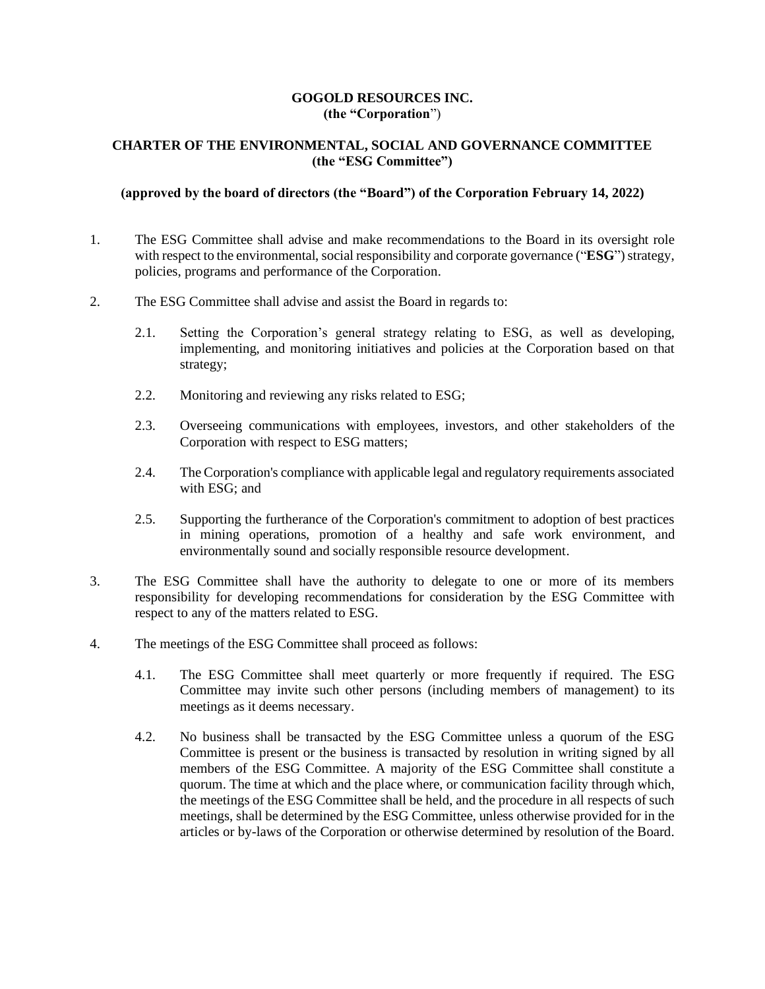## **GOGOLD RESOURCES INC. (the "Corporation**")

## **CHARTER OF THE ENVIRONMENTAL, SOCIAL AND GOVERNANCE COMMITTEE (the "ESG Committee")**

## **(approved by the board of directors (the "Board") of the Corporation February 14, 2022)**

- 1. The ESG Committee shall advise and make recommendations to the Board in its oversight role with respect to the environmental, social responsibility and corporate governance ("**ESG**") strategy, policies, programs and performance of the Corporation.
- 2. The ESG Committee shall advise and assist the Board in regards to:
	- 2.1. Setting the Corporation's general strategy relating to ESG, as well as developing, implementing, and monitoring initiatives and policies at the Corporation based on that strategy;
	- 2.2. Monitoring and reviewing any risks related to ESG;
	- 2.3. Overseeing communications with employees, investors, and other stakeholders of the Corporation with respect to ESG matters;
	- 2.4. The Corporation's compliance with applicable legal and regulatory requirements associated with ESG: and
	- 2.5. Supporting the furtherance of the Corporation's commitment to adoption of best practices in mining operations, promotion of a healthy and safe work environment, and environmentally sound and socially responsible resource development.
- 3. The ESG Committee shall have the authority to delegate to one or more of its members responsibility for developing recommendations for consideration by the ESG Committee with respect to any of the matters related to ESG.
- 4. The meetings of the ESG Committee shall proceed as follows:
	- 4.1. The ESG Committee shall meet quarterly or more frequently if required. The ESG Committee may invite such other persons (including members of management) to its meetings as it deems necessary.
	- 4.2. No business shall be transacted by the ESG Committee unless a quorum of the ESG Committee is present or the business is transacted by resolution in writing signed by all members of the ESG Committee. A majority of the ESG Committee shall constitute a quorum. The time at which and the place where, or communication facility through which, the meetings of the ESG Committee shall be held, and the procedure in all respects of such meetings, shall be determined by the ESG Committee, unless otherwise provided for in the articles or by-laws of the Corporation or otherwise determined by resolution of the Board.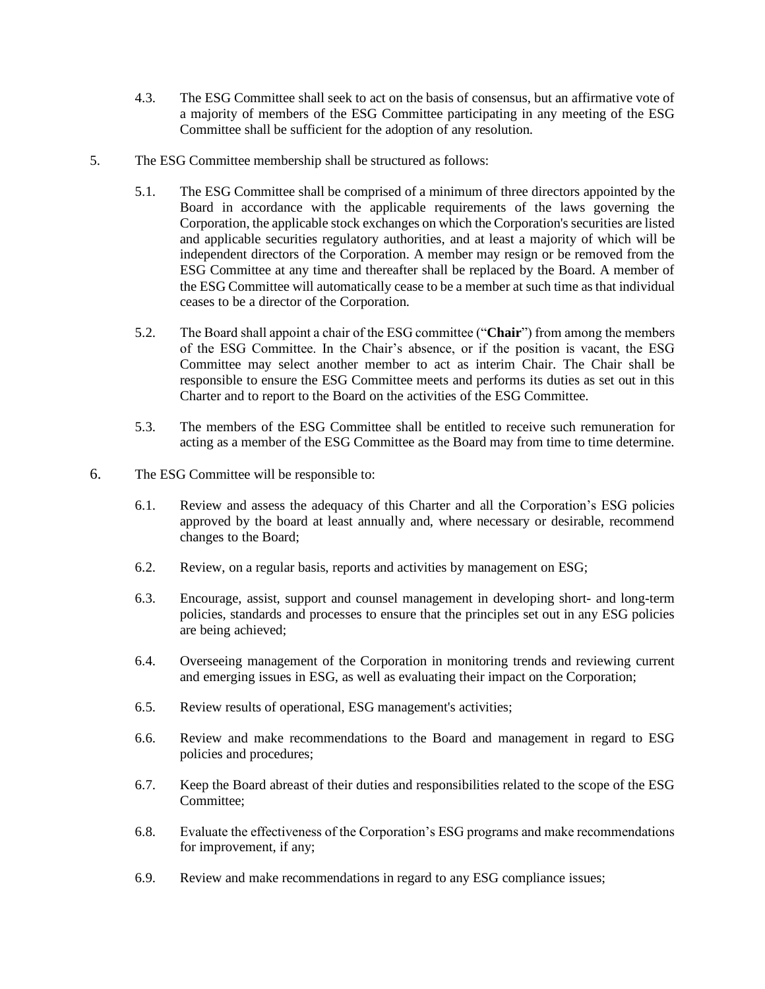- 4.3. The ESG Committee shall seek to act on the basis of consensus, but an affirmative vote of a majority of members of the ESG Committee participating in any meeting of the ESG Committee shall be sufficient for the adoption of any resolution.
- 5. The ESG Committee membership shall be structured as follows:
	- 5.1. The ESG Committee shall be comprised of a minimum of three directors appointed by the Board in accordance with the applicable requirements of the laws governing the Corporation, the applicable stock exchanges on which the Corporation's securities are listed and applicable securities regulatory authorities, and at least a majority of which will be independent directors of the Corporation. A member may resign or be removed from the ESG Committee at any time and thereafter shall be replaced by the Board. A member of the ESG Committee will automatically cease to be a member at such time as that individual ceases to be a director of the Corporation.
	- 5.2. The Board shall appoint a chair of the ESG committee ("**Chair**") from among the members of the ESG Committee. In the Chair's absence, or if the position is vacant, the ESG Committee may select another member to act as interim Chair. The Chair shall be responsible to ensure the ESG Committee meets and performs its duties as set out in this Charter and to report to the Board on the activities of the ESG Committee.
	- 5.3. The members of the ESG Committee shall be entitled to receive such remuneration for acting as a member of the ESG Committee as the Board may from time to time determine.
- 6. The ESG Committee will be responsible to:
	- 6.1. Review and assess the adequacy of this Charter and all the Corporation's ESG policies approved by the board at least annually and, where necessary or desirable, recommend changes to the Board;
	- 6.2. Review, on a regular basis, reports and activities by management on ESG;
	- 6.3. Encourage, assist, support and counsel management in developing short- and long-term policies, standards and processes to ensure that the principles set out in any ESG policies are being achieved;
	- 6.4. Overseeing management of the Corporation in monitoring trends and reviewing current and emerging issues in ESG, as well as evaluating their impact on the Corporation;
	- 6.5. Review results of operational, ESG management's activities;
	- 6.6. Review and make recommendations to the Board and management in regard to ESG policies and procedures;
	- 6.7. Keep the Board abreast of their duties and responsibilities related to the scope of the ESG Committee;
	- 6.8. Evaluate the effectiveness of the Corporation's ESG programs and make recommendations for improvement, if any;
	- 6.9. Review and make recommendations in regard to any ESG compliance issues;